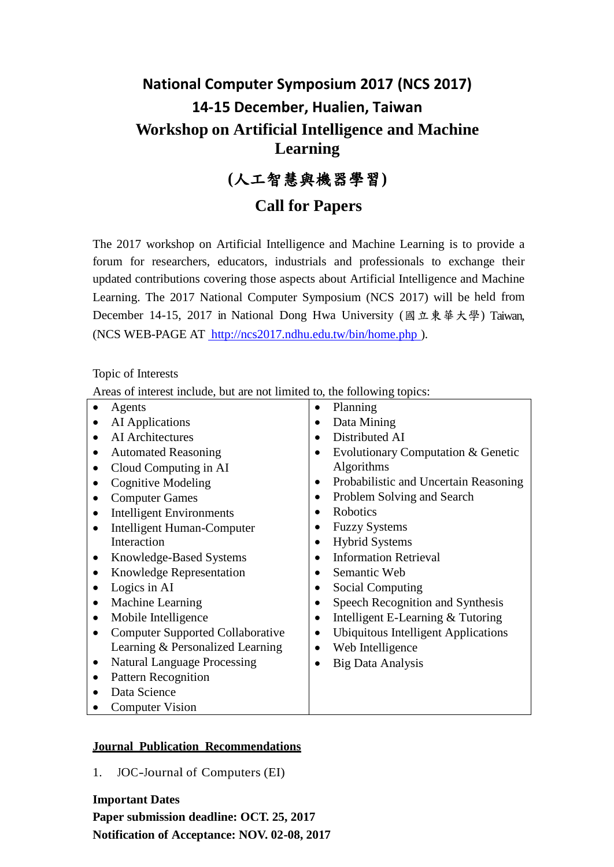# **National Computer Symposium 2017 (NCS 2017) 14-15 December, Hualien, Taiwan Workshop on Artificial Intelligence and Machine Learning**

**(**人工智慧與機器學習**)**

# **Call for Papers**

The 2017 workshop on Artificial Intelligence and Machine Learning is to provide a forum for researchers, educators, industrials and professionals to exchange their updated contributions covering those aspects about Artificial Intelligence and Machine Learning. The 2017 National Computer Symposium (NCS 2017) will be held from December 14-15, 2017 in National Dong Hwa University (國立東華大學) Taiwan, (NCS WEB-PAGE AT [http://ncs2017.ndhu.edu.tw/bin/home.php \)](http://ncs2017.ndhu.edu.tw/bin/home.php).

Topic of Interests

Areas of interest include, but are not limited to, the following topics:

| Agents                                  | Planning<br>$\bullet$                      |
|-----------------------------------------|--------------------------------------------|
| AI Applications                         | Data Mining                                |
| AI Architectures                        | Distributed AI                             |
| <b>Automated Reasoning</b>              | Evolutionary Computation & Genetic         |
| Cloud Computing in AI                   | Algorithms                                 |
| <b>Cognitive Modeling</b>               | Probabilistic and Uncertain Reasoning      |
| <b>Computer Games</b>                   | Problem Solving and Search                 |
| <b>Intelligent Environments</b>         | Robotics                                   |
| Intelligent Human-Computer              | <b>Fuzzy Systems</b>                       |
| Interaction                             | <b>Hybrid Systems</b>                      |
| Knowledge-Based Systems                 | <b>Information Retrieval</b>               |
| Knowledge Representation                | Semantic Web                               |
| Logics in AI                            | Social Computing                           |
| Machine Learning                        | Speech Recognition and Synthesis           |
| Mobile Intelligence                     | Intelligent E-Learning & Tutoring          |
| <b>Computer Supported Collaborative</b> | <b>Ubiquitous Intelligent Applications</b> |
| Learning & Personalized Learning        | Web Intelligence                           |
| <b>Natural Language Processing</b>      | <b>Big Data Analysis</b>                   |
| <b>Pattern Recognition</b>              |                                            |
| Data Science                            |                                            |
| <b>Computer Vision</b>                  |                                            |

#### **Journal Publication Recommendations**

1. JOC-Journal of Computers (EI)

## **Important Dates**

**Paper submission deadline: OCT. 25, 2017 Notification of Acceptance: NOV. 02-08, 2017**